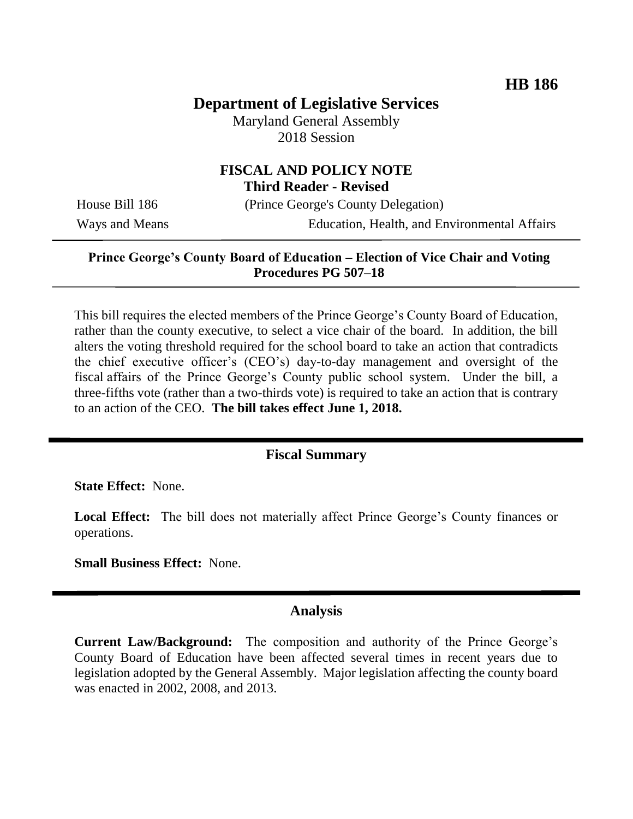# **Department of Legislative Services**

Maryland General Assembly 2018 Session

### **FISCAL AND POLICY NOTE Third Reader - Revised**

House Bill 186 (Prince George's County Delegation) Ways and Means Education, Health, and Environmental Affairs

## **Prince George's County Board of Education – Election of Vice Chair and Voting Procedures PG 507–18**

This bill requires the elected members of the Prince George's County Board of Education, rather than the county executive, to select a vice chair of the board. In addition, the bill alters the voting threshold required for the school board to take an action that contradicts the chief executive officer's (CEO's) day-to-day management and oversight of the fiscal affairs of the Prince George's County public school system. Under the bill, a three-fifths vote (rather than a two-thirds vote) is required to take an action that is contrary to an action of the CEO. **The bill takes effect June 1, 2018.**

#### **Fiscal Summary**

**State Effect:** None.

**Local Effect:** The bill does not materially affect Prince George's County finances or operations.

**Small Business Effect:** None.

#### **Analysis**

**Current Law/Background:** The composition and authority of the Prince George's County Board of Education have been affected several times in recent years due to legislation adopted by the General Assembly. Major legislation affecting the county board was enacted in 2002, 2008, and 2013.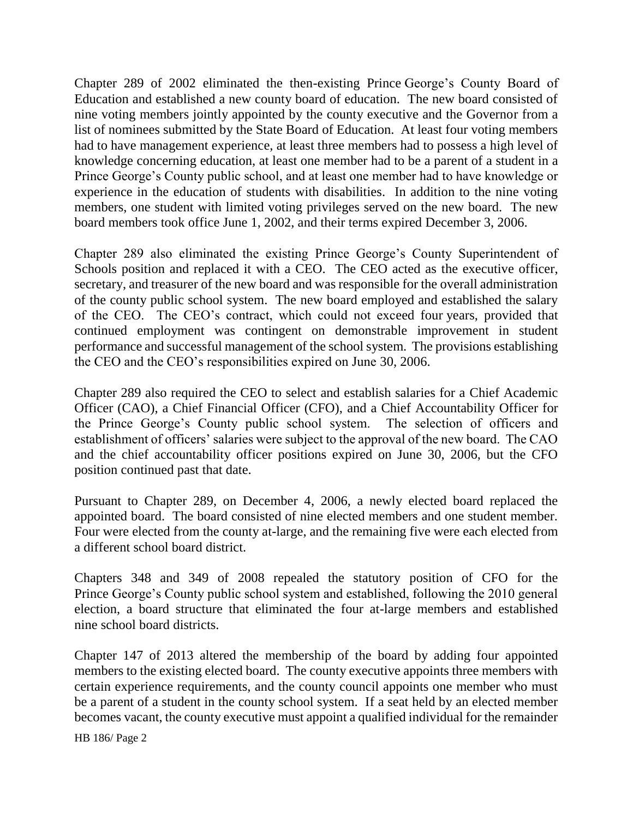Chapter 289 of 2002 eliminated the then-existing Prince George's County Board of Education and established a new county board of education. The new board consisted of nine voting members jointly appointed by the county executive and the Governor from a list of nominees submitted by the State Board of Education. At least four voting members had to have management experience, at least three members had to possess a high level of knowledge concerning education, at least one member had to be a parent of a student in a Prince George's County public school, and at least one member had to have knowledge or experience in the education of students with disabilities. In addition to the nine voting members, one student with limited voting privileges served on the new board. The new board members took office June 1, 2002, and their terms expired December 3, 2006.

Chapter 289 also eliminated the existing Prince George's County Superintendent of Schools position and replaced it with a CEO. The CEO acted as the executive officer, secretary, and treasurer of the new board and was responsible for the overall administration of the county public school system. The new board employed and established the salary of the CEO. The CEO's contract, which could not exceed four years, provided that continued employment was contingent on demonstrable improvement in student performance and successful management of the school system. The provisions establishing the CEO and the CEO's responsibilities expired on June 30, 2006.

Chapter 289 also required the CEO to select and establish salaries for a Chief Academic Officer (CAO), a Chief Financial Officer (CFO), and a Chief Accountability Officer for the Prince George's County public school system. The selection of officers and establishment of officers' salaries were subject to the approval of the new board. The CAO and the chief accountability officer positions expired on June 30, 2006, but the CFO position continued past that date.

Pursuant to Chapter 289, on December 4, 2006, a newly elected board replaced the appointed board. The board consisted of nine elected members and one student member. Four were elected from the county at-large, and the remaining five were each elected from a different school board district.

Chapters 348 and 349 of 2008 repealed the statutory position of CFO for the Prince George's County public school system and established, following the 2010 general election, a board structure that eliminated the four at-large members and established nine school board districts.

Chapter 147 of 2013 altered the membership of the board by adding four appointed members to the existing elected board. The county executive appoints three members with certain experience requirements, and the county council appoints one member who must be a parent of a student in the county school system. If a seat held by an elected member becomes vacant, the county executive must appoint a qualified individual for the remainder

HB 186/ Page 2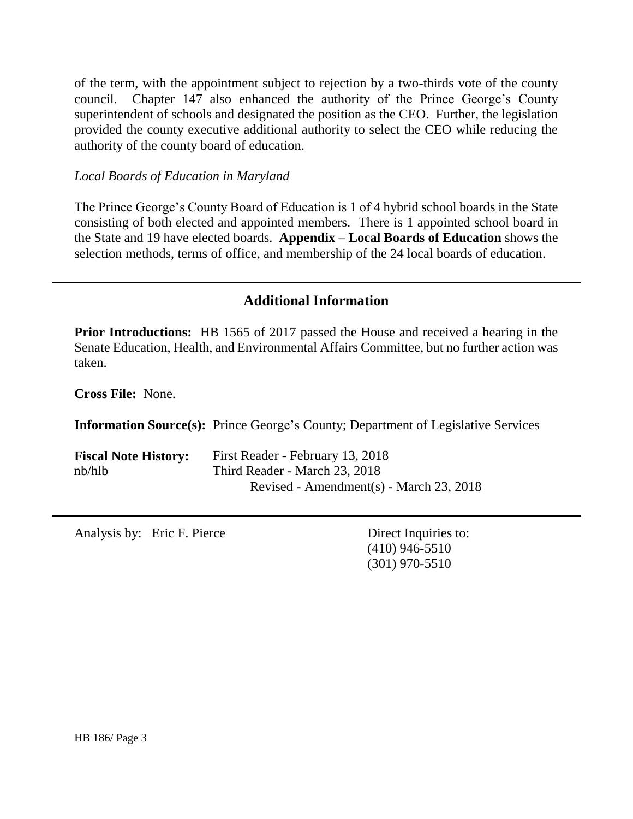of the term, with the appointment subject to rejection by a two-thirds vote of the county council. Chapter 147 also enhanced the authority of the Prince George's County superintendent of schools and designated the position as the CEO. Further, the legislation provided the county executive additional authority to select the CEO while reducing the authority of the county board of education.

#### *Local Boards of Education in Maryland*

The Prince George's County Board of Education is 1 of 4 hybrid school boards in the State consisting of both elected and appointed members. There is 1 appointed school board in the State and 19 have elected boards. **Appendix – Local Boards of Education** shows the selection methods, terms of office, and membership of the 24 local boards of education.

# **Additional Information**

**Prior Introductions:** HB 1565 of 2017 passed the House and received a hearing in the Senate Education, Health, and Environmental Affairs Committee, but no further action was taken.

**Cross File:** None.

**Information Source(s):** Prince George's County; Department of Legislative Services

| <b>Fiscal Note History:</b> | First Reader - February 13, 2018        |
|-----------------------------|-----------------------------------------|
| nb/hlb                      | Third Reader - March 23, 2018           |
|                             | Revised - Amendment(s) - March 23, 2018 |

Analysis by: Eric F. Pierce Direct Inquiries to:

(410) 946-5510 (301) 970-5510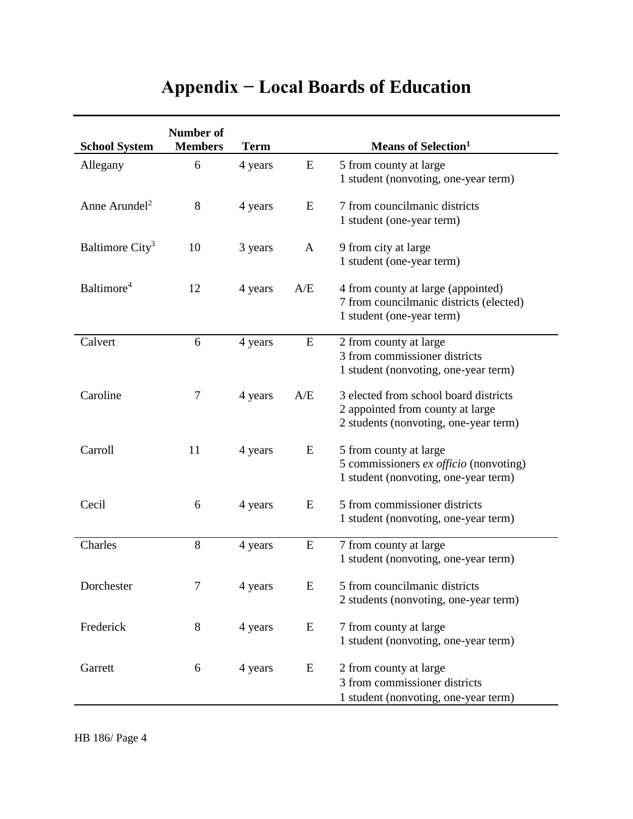# **Appendix − Local Boards of Education**

| <b>School System</b>        | <b>Number of</b><br><b>Members</b> | <b>Term</b> |              | <b>Means of Selection</b> <sup>1</sup>                                                                             |
|-----------------------------|------------------------------------|-------------|--------------|--------------------------------------------------------------------------------------------------------------------|
| Allegany                    | 6                                  | 4 years     | E            | 5 from county at large<br>1 student (nonvoting, one-year term)                                                     |
| Anne Arundel <sup>2</sup>   | 8                                  | 4 years     | E            | 7 from councilmanic districts<br>1 student (one-year term)                                                         |
| Baltimore City <sup>3</sup> | 10                                 | 3 years     | $\mathbf{A}$ | 9 from city at large<br>1 student (one-year term)                                                                  |
| Baltimore <sup>4</sup>      | 12                                 | 4 years     | A/E          | 4 from county at large (appointed)<br>7 from councilmanic districts (elected)<br>1 student (one-year term)         |
| Calvert                     | 6                                  | 4 years     | E            | 2 from county at large<br>3 from commissioner districts<br>1 student (nonvoting, one-year term)                    |
| Caroline                    | $\tau$                             | 4 years     | A/E          | 3 elected from school board districts<br>2 appointed from county at large<br>2 students (nonvoting, one-year term) |
| Carroll                     | 11                                 | 4 years     | E            | 5 from county at large<br>5 commissioners ex officio (nonvoting)<br>1 student (nonvoting, one-year term)           |
| Cecil                       | 6                                  | 4 years     | E            | 5 from commissioner districts<br>1 student (nonvoting, one-year term)                                              |
| Charles                     | 8                                  | 4 years     | E            | 7 from county at large<br>1 student (nonvoting, one-year term)                                                     |
| Dorchester                  | $\tau$                             | 4 years     | E            | 5 from councilmanic districts<br>2 students (nonvoting, one-year term)                                             |
| Frederick                   | $8\,$                              | 4 years     | E            | 7 from county at large<br>1 student (nonvoting, one-year term)                                                     |
| Garrett                     | 6                                  | 4 years     | E            | 2 from county at large<br>3 from commissioner districts<br>1 student (nonvoting, one-year term)                    |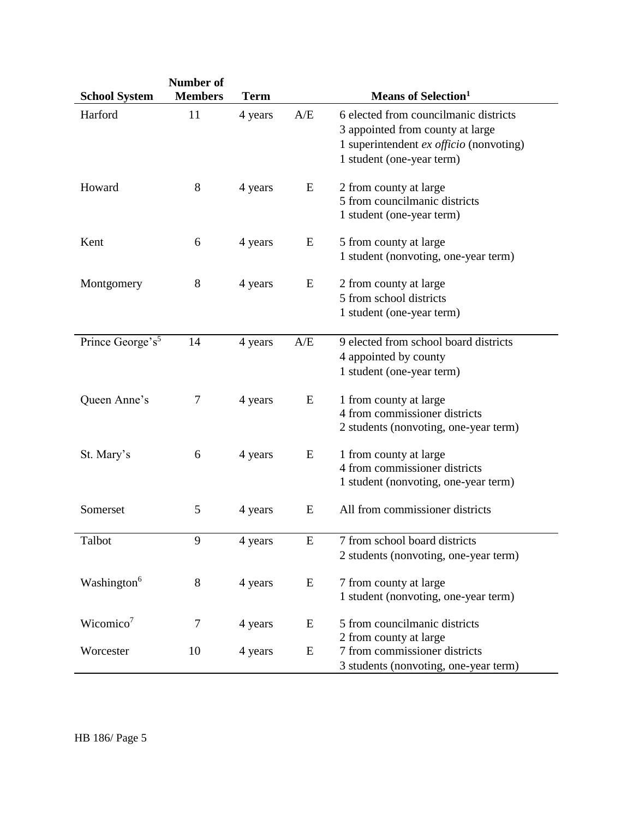| <b>School System</b>         | Number of<br><b>Members</b> | <b>Term</b> |           | <b>Means of Selection</b> <sup>1</sup>                                                                                                              |
|------------------------------|-----------------------------|-------------|-----------|-----------------------------------------------------------------------------------------------------------------------------------------------------|
| Harford                      | 11                          | 4 years     | A/E       | 6 elected from councilmanic districts<br>3 appointed from county at large<br>1 superintendent $ex$ officio (nonvoting)<br>1 student (one-year term) |
| Howard                       | $8\,$                       | 4 years     | E         | 2 from county at large<br>5 from councilmanic districts<br>1 student (one-year term)                                                                |
| Kent                         | 6                           | 4 years     | E         | 5 from county at large<br>1 student (nonvoting, one-year term)                                                                                      |
| Montgomery                   | 8                           | 4 years     | E         | 2 from county at large<br>5 from school districts<br>1 student (one-year term)                                                                      |
| Prince George's <sup>5</sup> | 14                          | 4 years     | A/E       | 9 elected from school board districts<br>4 appointed by county<br>1 student (one-year term)                                                         |
| Queen Anne's                 | 7                           | 4 years     | E         | 1 from county at large<br>4 from commissioner districts<br>2 students (nonvoting, one-year term)                                                    |
| St. Mary's                   | 6                           | 4 years     | E         | 1 from county at large<br>4 from commissioner districts<br>1 student (nonvoting, one-year term)                                                     |
| Somerset                     | 5                           | 4 years     | E         | All from commissioner districts                                                                                                                     |
| Talbot                       | 9                           | 4 years     | ${\bf E}$ | 7 from school board districts<br>2 students (nonvoting, one-year term)                                                                              |
| Washington <sup>6</sup>      | 8                           | 4 years     | E         | 7 from county at large<br>1 student (nonvoting, one-year term)                                                                                      |
| Wicomico <sup>7</sup>        | 7                           | 4 years     | E         | 5 from councilmanic districts                                                                                                                       |
| Worcester                    | 10                          | 4 years     | ${\bf E}$ | 2 from county at large<br>7 from commissioner districts<br>3 students (nonvoting, one-year term)                                                    |